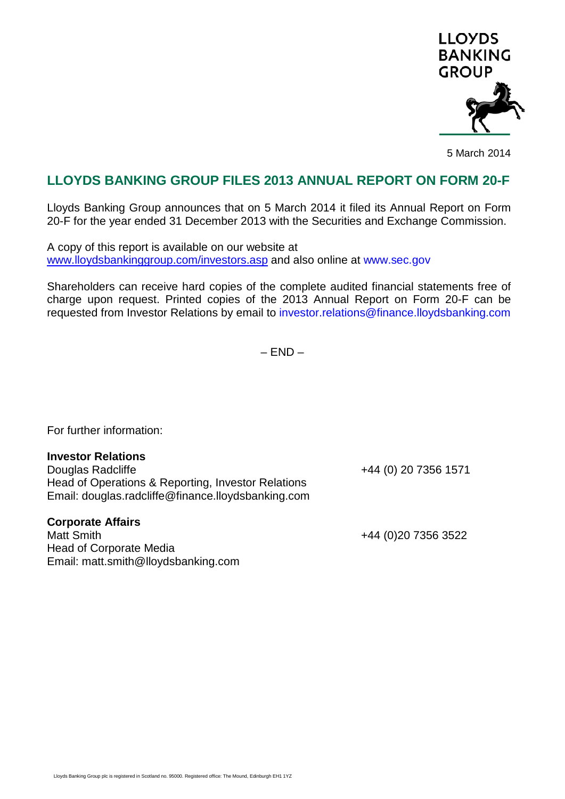

5 March 2014

## **LLOYDS BANKING GROUP FILES 2013 ANNUAL REPORT ON FORM 20-F**

Lloyds Banking Group announces that on 5 March 2014 it filed its Annual Report on Form 20-F for the year ended 31 December 2013 with the Securities and Exchange Commission.

A copy of this report is available on our website at [www.lloydsbankinggroup.com/investors.asp](http://www.lloydsbankinggroup.com/investors.asp) and also online at www.sec.gov

Shareholders can receive hard copies of the complete audited financial statements free of charge upon request. Printed copies of the 2013 Annual Report on Form 20-F can be requested from Investor Relations by email to investor.relations@finance.lloydsbanking.com

 $-$  END $-$ 

For further information:

## **Investor Relations**

Douglas Radcliffe +44 (0) 20 7356 1571 Head of Operations & Reporting, Investor Relations Email: douglas.radcliffe@finance.lloydsbanking.com

## **Corporate Affairs**

Head of Corporate Media Email: matt.smith@lloydsbanking.com

+44 (0)20 7356 3522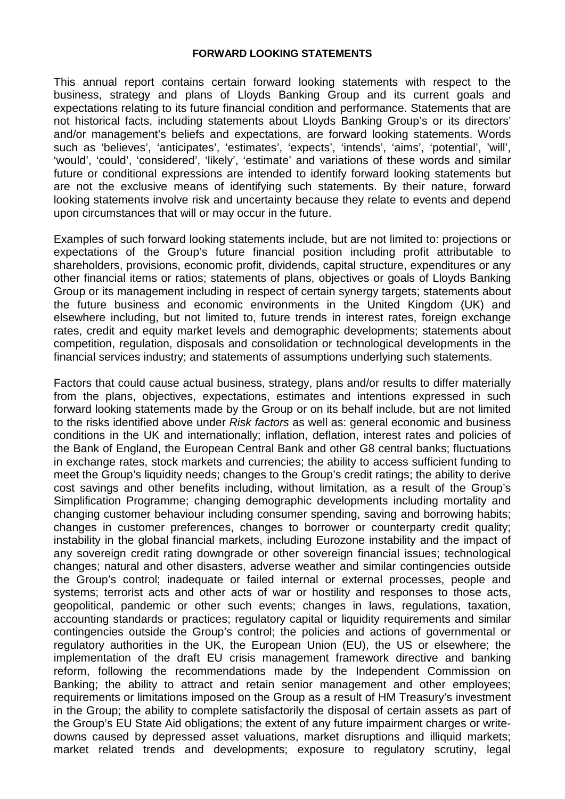## **FORWARD LOOKING STATEMENTS**

This annual report contains certain forward looking statements with respect to the business, strategy and plans of Lloyds Banking Group and its current goals and expectations relating to its future financial condition and performance. Statements that are not historical facts, including statements about Lloyds Banking Group's or its directors' and/or management's beliefs and expectations, are forward looking statements. Words such as 'believes', 'anticipates', 'estimates', 'expects', 'intends', 'aims', 'potential', 'will', 'would', 'could', 'considered', 'likely', 'estimate' and variations of these words and similar future or conditional expressions are intended to identify forward looking statements but are not the exclusive means of identifying such statements. By their nature, forward looking statements involve risk and uncertainty because they relate to events and depend upon circumstances that will or may occur in the future.

Examples of such forward looking statements include, but are not limited to: projections or expectations of the Group's future financial position including profit attributable to shareholders, provisions, economic profit, dividends, capital structure, expenditures or any other financial items or ratios; statements of plans, objectives or goals of Lloyds Banking Group or its management including in respect of certain synergy targets; statements about the future business and economic environments in the United Kingdom (UK) and elsewhere including, but not limited to, future trends in interest rates, foreign exchange rates, credit and equity market levels and demographic developments; statements about competition, regulation, disposals and consolidation or technological developments in the financial services industry; and statements of assumptions underlying such statements.

Factors that could cause actual business, strategy, plans and/or results to differ materially from the plans, objectives, expectations, estimates and intentions expressed in such forward looking statements made by the Group or on its behalf include, but are not limited to the risks identified above under *Risk factors* as well as: general economic and business conditions in the UK and internationally; inflation, deflation, interest rates and policies of the Bank of England, the European Central Bank and other G8 central banks; fluctuations in exchange rates, stock markets and currencies; the ability to access sufficient funding to meet the Group's liquidity needs; changes to the Group's credit ratings; the ability to derive cost savings and other benefits including, without limitation, as a result of the Group's Simplification Programme; changing demographic developments including mortality and changing customer behaviour including consumer spending, saving and borrowing habits; changes in customer preferences, changes to borrower or counterparty credit quality; instability in the global financial markets, including Eurozone instability and the impact of any sovereign credit rating downgrade or other sovereign financial issues; technological changes; natural and other disasters, adverse weather and similar contingencies outside the Group's control; inadequate or failed internal or external processes, people and systems; terrorist acts and other acts of war or hostility and responses to those acts, geopolitical, pandemic or other such events; changes in laws, regulations, taxation, accounting standards or practices; regulatory capital or liquidity requirements and similar contingencies outside the Group's control; the policies and actions of governmental or regulatory authorities in the UK, the European Union (EU), the US or elsewhere; the implementation of the draft EU crisis management framework directive and banking reform, following the recommendations made by the Independent Commission on Banking; the ability to attract and retain senior management and other employees; requirements or limitations imposed on the Group as a result of HM Treasury's investment in the Group; the ability to complete satisfactorily the disposal of certain assets as part of the Group's EU State Aid obligations; the extent of any future impairment charges or writedowns caused by depressed asset valuations, market disruptions and illiquid markets; market related trends and developments; exposure to regulatory scrutiny, legal